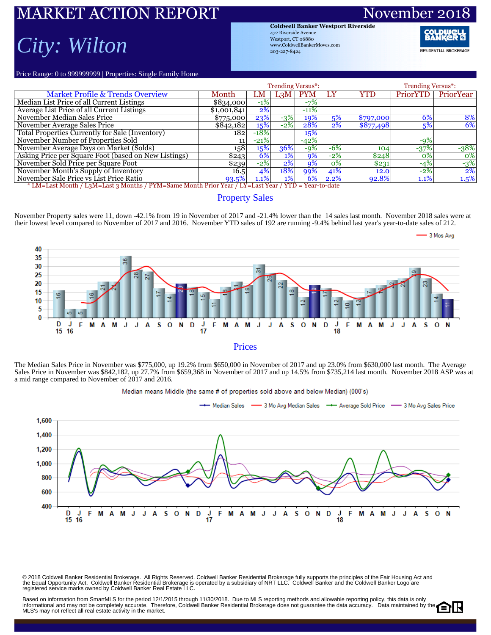### KET ACTION REPORT Novem *City: Wilton*

**Coldwell Banker Westport Riverside** 472 Riverside Avenue Westport, CT 06880 www.ColdwellBankerMoves.com 203-227-8424

**RESIDENTIAL BROKERAGE** 

Price Range: 0 to 999999999 | Properties: Single Family Home

|                                                                                                            |             |        | <b>Trending Versus*:</b> |            | <b>Trending Versus*:</b> |           |                 |                  |  |  |  |  |
|------------------------------------------------------------------------------------------------------------|-------------|--------|--------------------------|------------|--------------------------|-----------|-----------------|------------------|--|--|--|--|
| <b>Market Profile &amp; Trends Overview</b>                                                                | Month       | LM     |                          | $L_3M$ PYM | LY                       | YTD       | <b>PriorYTD</b> | PriorYear        |  |  |  |  |
| Median List Price of all Current Listings                                                                  | \$8,34,000  | $-1\%$ |                          | $-7%$      |                          |           |                 |                  |  |  |  |  |
| Average List Price of all Current Listings                                                                 | \$1,001,841 | $2\%$  |                          | $-11%$     |                          |           |                 |                  |  |  |  |  |
| November Median Sales Price                                                                                | \$775,000   | 23%    | $-3\%$                   | 19%        | 5%                       | \$797,000 | 6%              | 8%               |  |  |  |  |
| November Average Sales Price                                                                               | \$842,182   | 15%    | $-2%$                    | 28%        | 2%                       | \$877,498 | 5%              | 6%               |  |  |  |  |
| Total Properties Currently for Sale (Inventory)                                                            | 1821        | $-18%$ |                          | 15%        |                          |           |                 |                  |  |  |  |  |
| November Number of Properties Sold                                                                         |             | $-21%$ |                          | $-42%$     |                          |           | $-9%$           |                  |  |  |  |  |
| November Average Days on Market (Solds)                                                                    | 158         | 15%    | 36%                      | $-9%$      | $-6%$                    | 104       | $-37%$          | $-38%$           |  |  |  |  |
| Asking Price per Square Foot (based on New Listings)                                                       | \$243       | 6%     | $1\%$                    | $9\%$      | $-2%$                    | \$248     | 0%              | $\overline{0\%}$ |  |  |  |  |
| November Sold Price per Square Foot                                                                        | \$239       | $-2%$  | $2\%$                    | $9\%$      | $\overline{0\%}$         | \$231     | $-4%$           | $-3%$            |  |  |  |  |
| November Month's Supply of Inventory                                                                       | 16.5        | 4%     | 18%                      | 99%        | 41%                      | 12.0      | $-2\%$          | $2\%$            |  |  |  |  |
| November Sale Price vs List Price Ratio                                                                    | 93.5%       | 1.1%   | $1\%$                    | 6%         | 2.2%                     | 92.8%     | $1.1\%$         | 1.5%             |  |  |  |  |
| <u>* LM=Last Month / L3M=Last 3 Months / PYM=Same Month Prior Year / LY=Last Year / YTD = Year-to-date</u> |             |        |                          |            |                          |           |                 |                  |  |  |  |  |

### Property Sales

November Property sales were 11, down -42.1% from 19 in November of 2017 and -21.4% lower than the 14 sales last month. November 2018 sales were at their lowest level compared to November of 2017 and 2016. November YTD sales of 192 are running -9.4% behind last year's year-to-date sales of 212.



The Median Sales Price in November was \$775,000, up 19.2% from \$650,000 in November of 2017 and up 23.0% from \$630,000 last month. The Average Sales Price in November was \$842,182, up 27.7% from \$659,368 in November of 2017 and up 14.5% from \$735,214 last month. November 2018 ASP was at a mid range compared to November of 2017 and 2016.



© 2018 Coldwell Banker Residential Brokerage. All Rights Reserved. Coldwell Banker Residential Brokerage fully supports the principles of the Fair Housing Act and<br>the Equal Opportunity Act. Coldwell Banker Realential Bro

Based on information from SmartMLS for the period 12/1/2015 through 11/30/2018. Due to MLS reporting methods and allowable reporting policy, this data is only informational and may not be completely accurate. Therefore, Coldwell Banker Residential Brokerage does not guarantee the data accuracy. Data maintained by the MLS's may not reflect all real estate activity in the market.

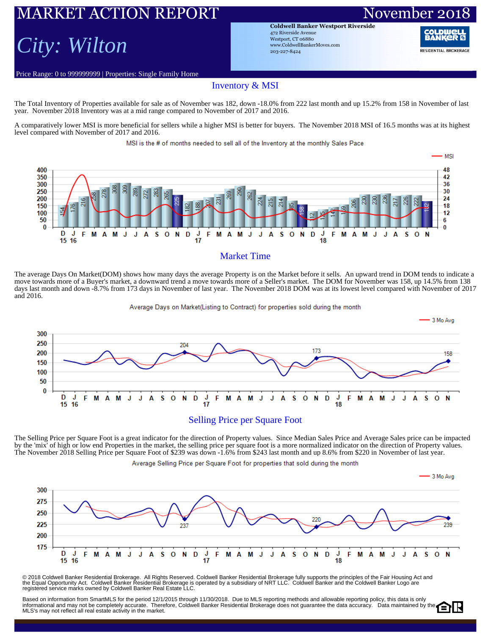# RKET ACTION REPORT November

## *City: Wilton*

Price Range: 0 to 999999999 | Properties: Single Family Home

**Coldwell Banker Westport Riverside** 472 Riverside Avenue Westport, CT 06880 www.ColdwellBankerMoves.com 203-227-8424

**RESIDENTIAL BROKERAGE** 

#### Inventory & MSI

The Total Inventory of Properties available for sale as of November was 182, down -18.0% from 222 last month and up 15.2% from 158 in November of last year. November 2018 Inventory was at a mid range compared to November of 2017 and 2016.

A comparatively lower MSI is more beneficial for sellers while a higher MSI is better for buyers. The November 2018 MSI of 16.5 months was at its highest level compared with November of 2017 and 2016.

MSI is the # of months needed to sell all of the Inventory at the monthly Sales Pace



#### Market Time

The average Days On Market(DOM) shows how many days the average Property is on the Market before it sells. An upward trend in DOM tends to indicate a move towards more of a Buyer's market, a downward trend a move towards more of a Seller's market. The DOM for November was 158, up 14.5% from 138 days last month and down -8.7% from 173 days in November of last year. The November 2018 DOM was at its lowest level compared with November of 2017 and 2016.

Average Days on Market(Listing to Contract) for properties sold during the month



The Selling Price per Square Foot is a great indicator for the direction of Property values. Since Median Sales Price and Average Sales price can be impacted by the 'mix' of high or low end Properties in the market, the selling price per square foot is a more normalized indicator on the direction of Property values. The November 2018 Selling Price per Square Foot of \$239 was down -1.6% from \$243 last month and up 8.6% from \$220 in November of last year.

Average Selling Price per Square Foot for properties that sold during the month



© 2018 Coldwell Banker Residential Brokerage. All Rights Reserved. Coldwell Banker Residential Brokerage fully supports the principles of the Fair Housing Act and<br>the Equal Opportunity Act. Coldwell Banker Realential Bro

Based on information from SmartMLS for the period 12/1/2015 through 11/30/2018. Due to MLS reporting methods and allowable reporting policy, this data is only informational and may not be completely accurate. Therefore, Coldwell Banker Residential Brokerage does not guarantee the data accuracy. Data maintained by the MLS's may not reflect all real estate activity in the market.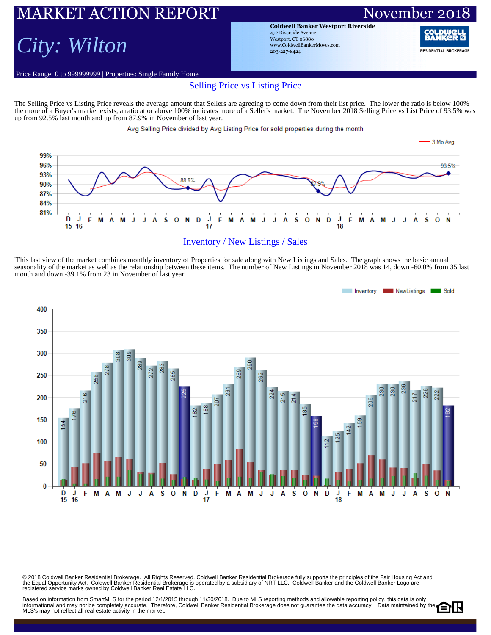## RKET ACTION REPORT November 20 *City: Wilton*

**Coldwell Banker Westport Riverside** 472 Riverside Avenue Westport, CT 06880 www.ColdwellBankerMoves.com 203-227-8424

RAN **RESIDENTIAL BROKERAGE** 

### Price Range: 0 to 999999999 | Properties: Single Family Home Selling Price vs Listing Price

The Selling Price vs Listing Price reveals the average amount that Sellers are agreeing to come down from their list price. The lower the ratio is below 100% the more of a Buyer's market exists, a ratio at or above 100% indicates more of a Seller's market. The November 2018 Selling Price vs List Price of 93.5% was up from 92.5% last month and up from 87.9% in November of last year.

Avg Selling Price divided by Avg Listing Price for sold properties during the month



#### Inventory / New Listings / Sales

'This last view of the market combines monthly inventory of Properties for sale along with New Listings and Sales. The graph shows the basic annual seasonality of the market as well as the relationship between these items. The number of New Listings in November 2018 was 14, down -60.0% from 35 last month and down -39.1% from 23 in November of last year.



© 2018 Coldwell Banker Residential Brokerage. All Rights Reserved. Coldwell Banker Residential Brokerage fully supports the principles of the Fair Housing Act and<br>the Equal Opportunity Act. Coldwell Banker Realential Bro

Based on information from SmartMLS for the period 12/1/2015 through 11/30/2018. Due to MLS reporting methods and allowable reporting policy, this data is only Dased on information from Unitativity for the period 12 (1201) with the set of the Coldwell Banker Residential Brokerage does not guarantee the data accuracy. Data maintained by the MLS's may not reflect all real estate activity in the market.